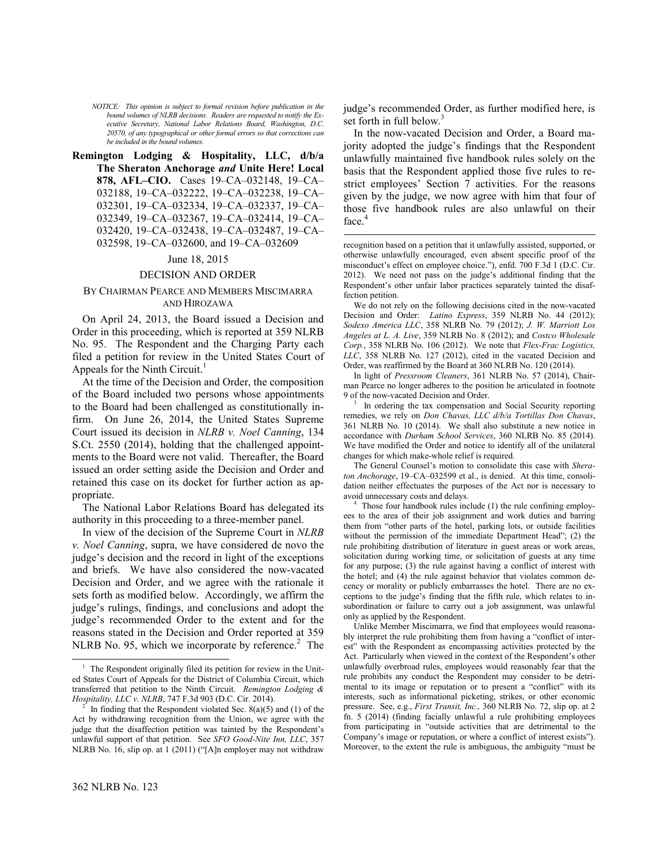*NOTICE: This opinion is subject to formal revision before publication in the bound volumes of NLRB decisions. Readers are requested to notify the Executive Secretary, National Labor Relations Board, Washington, D.C. 20570, of any typographical or other formal errors so that corrections can be included in the bound volumes.*

**Remington Lodging & Hospitality, LLC, d/b/a The Sheraton Anchorage** *and* **Unite Here! Local 878, AFL–CIO.** Cases 19–CA–032148, 19–CA– 032188, 19–CA–032222, 19–CA–032238, 19–CA– 032301, 19–CA–032334, 19–CA–032337, 19–CA– 032349, 19–CA–032367, 19–CA–032414, 19–CA– 032420, 19–CA–032438, 19–CA–032487, 19–CA– 032598, 19–CA–032600, and 19–CA–032609

## June 18, 2015

## DECISION AND ORDER

## BY CHAIRMAN PEARCE AND MEMBERS MISCIMARRA AND HIROZAWA

On April 24, 2013, the Board issued a Decision and Order in this proceeding, which is reported at 359 NLRB No. 95. The Respondent and the Charging Party each filed a petition for review in the United States Court of Appeals for the Ninth Circuit.<sup>[1](#page-0-0)</sup>

<span id="page-0-2"></span>At the time of the Decision and Order, the composition of the Board included two persons whose appointments to the Board had been challenged as constitutionally infirm. On June 26, 2014, the United States Supreme Court issued its decision in *NLRB v. Noel Canning*, 134 S.Ct. 2550 (2014), holding that the challenged appointments to the Board were not valid. Thereafter, the Board issued an order setting aside the Decision and Order and retained this case on its docket for further action as appropriate.

<span id="page-0-3"></span>The National Labor Relations Board has delegated its authority in this proceeding to a three-member panel.

In view of the decision of the Supreme Court in *NLRB v. Noel Canning*, supra, we have considered de novo the judge's decision and the record in light of the exceptions and briefs. We have also considered the now-vacated Decision and Order, and we agree with the rationale it sets forth as modified below. Accordingly, we affirm the judge's rulings, findings, and conclusions and adopt the judge's recommended Order to the extent and for the reasons stated in the Decision and Order reported at 359 NLRB No. 95, which we incorporate by reference. $2$  The

In the now-vacated Decision and Order, a Board majority adopted the judge's findings that the Respondent unlawfully maintained five handbook rules solely on the basis that the Respondent applied those five rules to restrict employees' Section 7 activities. For the reasons given by the judge, we now agree with him that four of those five handbook rules are also unlawful on their face.<sup>[4](#page-0-3)</sup>

recognition based on a petition that it unlawfully assisted, supported, or otherwise unlawfully encouraged, even absent specific proof of the misconduct's effect on employee choice."), enfd. 700 F.3d 1 (D.C. Cir. 2012). We need not pass on the judge's additional finding that the Respondent's other unfair labor practices separately tainted the disaffection petition.

 $\overline{a}$ 

We do not rely on the following decisions cited in the now-vacated Decision and Order: *Latino Express*, 359 NLRB No. 44 (2012); *Sodexo America LLC*, 358 NLRB No. 79 (2012); *J. W. Marriott Los Angeles at L. A. Live*, 359 NLRB No. 8 (2012); and *Costco Wholesale Corp.*, 358 NLRB No. 106 (2012). We note that *Flex-Frac Logistics, LLC*, 358 NLRB No. 127 (2012), cited in the vacated Decision and Order, was reaffirmed by the Board at 360 NLRB No. 120 (2014).

In light of *Pressroom Cleaners*, 361 NLRB No. 57 (2014), Chairman Pearce no longer adheres to the position he articulated in footnote 9 of the now-vacated Decision and Order.

3 In ordering the tax compensation and Social Security reporting remedies, we rely on *Don Chavas, LLC d/b/a Tortillas Don Chavas*, 361 NLRB No. 10 (2014). We shall also substitute a new notice in accordance with *Durham School Services*, 360 NLRB No. 85 (2014). We have modified the Order and notice to identify all of the unilateral changes for which make-whole relief is required.

The General Counsel's motion to consolidate this case with *Sheraton Anchorage*, 19–CA–032599 et al., is denied. At this time, consolidation neither effectuates the purposes of the Act nor is necessary to avoid unnecessary costs and delays.

4 Those four handbook rules include (1) the rule confining employees to the area of their job assignment and work duties and barring them from "other parts of the hotel, parking lots, or outside facilities without the permission of the immediate Department Head"; (2) the rule prohibiting distribution of literature in guest areas or work areas, solicitation during working time, or solicitation of guests at any time for any purpose; (3) the rule against having a conflict of interest with the hotel; and (4) the rule against behavior that violates common decency or morality or publicly embarrasses the hotel. There are no exceptions to the judge's finding that the fifth rule, which relates to insubordination or failure to carry out a job assignment, was unlawful only as applied by the Respondent.

Unlike Member Miscimarra, we find that employees would reasonably interpret the rule prohibiting them from having a "conflict of interest" with the Respondent as encompassing activities protected by the Act. Particularly when viewed in the context of the Respondent's other unlawfully overbroad rules, employees would reasonably fear that the rule prohibits any conduct the Respondent may consider to be detrimental to its image or reputation or to present a "conflict" with its interests, such as informational picketing, strikes, or other economic pressure. See, e.g., *First Transit, Inc.,* 360 NLRB No. 72, slip op. at 2 fn. 5 (2014) (finding facially unlawful a rule prohibiting employees from participating in "outside activities that are detrimental to the Company's image or reputation, or where a conflict of interest exists"). Moreover, to the extent the rule is ambiguous, the ambiguity "must be

-

<span id="page-0-0"></span><sup>&</sup>lt;sup>1</sup> The Respondent originally filed its petition for review in the United States Court of Appeals for the District of Columbia Circuit, which transferred that petition to the Ninth Circuit. *Remington Lodging & Hospitality, LLC v. NLRB*, 747 F.3d 903 (D.C. Cir. 2014).

<span id="page-0-1"></span><sup>2</sup> In finding that the Respondent violated Sec.  $8(a)(5)$  and (1) of the Act by withdrawing recognition from the Union, we agree with the judge that the disaffection petition was tainted by the Respondent's unlawful support of that petition. See *SFO Good-Nite Inn, LLC*, 357 NLRB No. 16, slip op. at 1 (2011) ("[A]n employer may not withdraw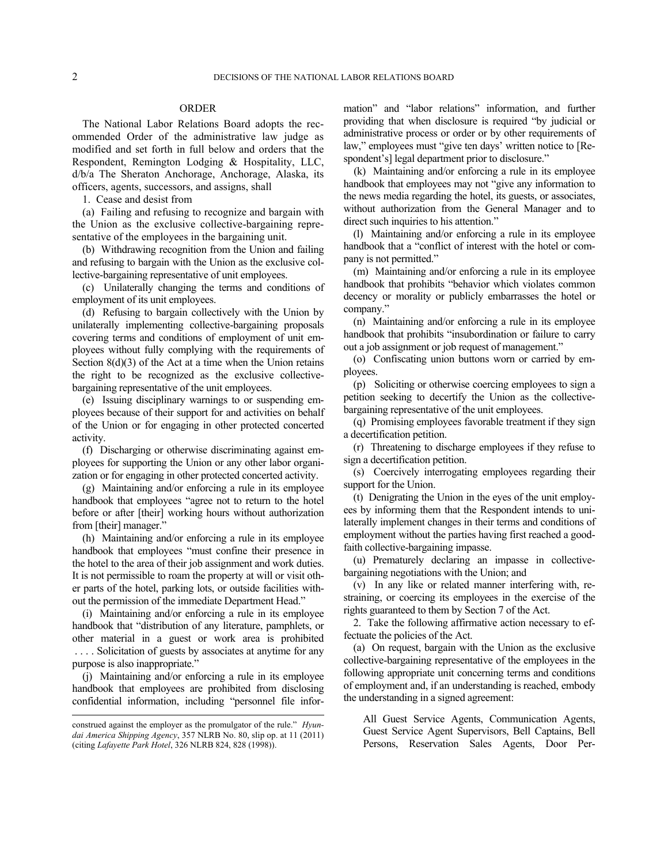# ORDER

The National Labor Relations Board adopts the recommended Order of the administrative law judge as modified and set forth in full below and orders that the Respondent, Remington Lodging & Hospitality, LLC, d/b/a The Sheraton Anchorage, Anchorage, Alaska, its officers, agents, successors, and assigns, shall

1. Cease and desist from

(a) Failing and refusing to recognize and bargain with the Union as the exclusive collective-bargaining representative of the employees in the bargaining unit.

(b) Withdrawing recognition from the Union and failing and refusing to bargain with the Union as the exclusive collective-bargaining representative of unit employees.

(c) Unilaterally changing the terms and conditions of employment of its unit employees.

(d) Refusing to bargain collectively with the Union by unilaterally implementing collective-bargaining proposals covering terms and conditions of employment of unit employees without fully complying with the requirements of Section  $8(d)(3)$  of the Act at a time when the Union retains the right to be recognized as the exclusive collectivebargaining representative of the unit employees.

(e) Issuing disciplinary warnings to or suspending employees because of their support for and activities on behalf of the Union or for engaging in other protected concerted activity.

(f) Discharging or otherwise discriminating against employees for supporting the Union or any other labor organization or for engaging in other protected concerted activity.

(g) Maintaining and/or enforcing a rule in its employee handbook that employees "agree not to return to the hotel before or after [their] working hours without authorization from [their] manager."

(h) Maintaining and/or enforcing a rule in its employee handbook that employees "must confine their presence in the hotel to the area of their job assignment and work duties. It is not permissible to roam the property at will or visit other parts of the hotel, parking lots, or outside facilities without the permission of the immediate Department Head."

(i) Maintaining and/or enforcing a rule in its employee handbook that "distribution of any literature, pamphlets, or other material in a guest or work area is prohibited . . . . Solicitation of guests by associates at anytime for any purpose is also inappropriate."

(j) Maintaining and/or enforcing a rule in its employee handbook that employees are prohibited from disclosing confidential information, including "personnel file infor-

l

mation" and "labor relations" information, and further providing that when disclosure is required "by judicial or administrative process or order or by other requirements of law," employees must "give ten days' written notice to [Respondent's] legal department prior to disclosure."

(k) Maintaining and/or enforcing a rule in its employee handbook that employees may not "give any information to the news media regarding the hotel, its guests, or associates, without authorization from the General Manager and to direct such inquiries to his attention."

(l) Maintaining and/or enforcing a rule in its employee handbook that a "conflict of interest with the hotel or company is not permitted."

(m) Maintaining and/or enforcing a rule in its employee handbook that prohibits "behavior which violates common decency or morality or publicly embarrasses the hotel or company."

(n) Maintaining and/or enforcing a rule in its employee handbook that prohibits "insubordination or failure to carry out a job assignment or job request of management."

(o) Confiscating union buttons worn or carried by employees.

(p) Soliciting or otherwise coercing employees to sign a petition seeking to decertify the Union as the collectivebargaining representative of the unit employees.

(q) Promising employees favorable treatment if they sign a decertification petition.

(r) Threatening to discharge employees if they refuse to sign a decertification petition.

(s) Coercively interrogating employees regarding their support for the Union.

(t) Denigrating the Union in the eyes of the unit employees by informing them that the Respondent intends to unilaterally implement changes in their terms and conditions of employment without the parties having first reached a goodfaith collective-bargaining impasse.

(u) Prematurely declaring an impasse in collectivebargaining negotiations with the Union; and

(v) In any like or related manner interfering with, restraining, or coercing its employees in the exercise of the rights guaranteed to them by Section 7 of the Act.

2. Take the following affirmative action necessary to effectuate the policies of the Act.

(a) On request, bargain with the Union as the exclusive collective-bargaining representative of the employees in the following appropriate unit concerning terms and conditions of employment and, if an understanding is reached, embody the understanding in a signed agreement:

All Guest Service Agents, Communication Agents, Guest Service Agent Supervisors, Bell Captains, Bell Persons, Reservation Sales Agents, Door Per-

construed against the employer as the promulgator of the rule." *Hyundai America Shipping Agency*, 357 NLRB No. 80, slip op. at 11 (2011) (citing *Lafayette Park Hotel*, 326 NLRB 824, 828 (1998)).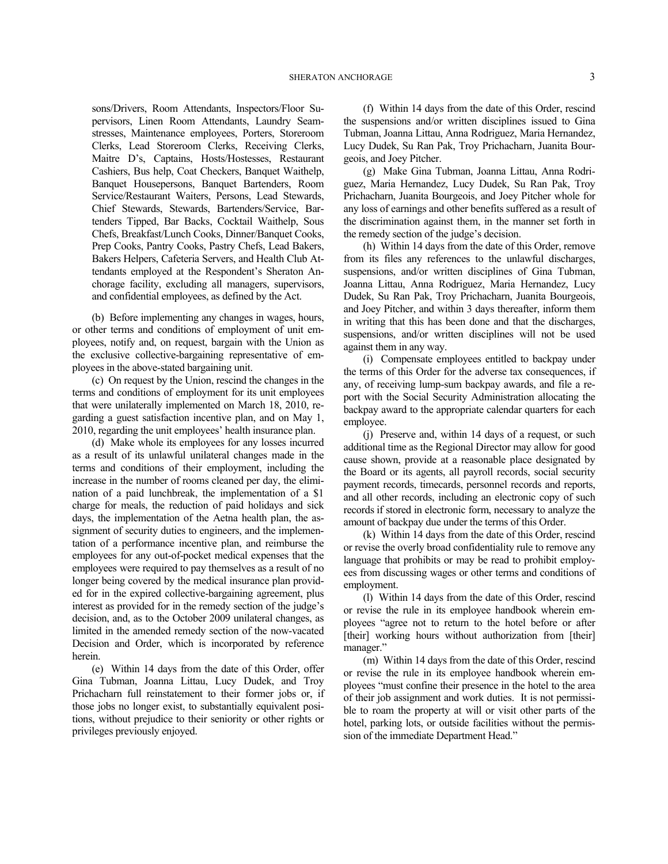sons/Drivers, Room Attendants, Inspectors/Floor Supervisors, Linen Room Attendants, Laundry Seamstresses, Maintenance employees, Porters, Storeroom Clerks, Lead Storeroom Clerks, Receiving Clerks, Maitre D's, Captains, Hosts/Hostesses, Restaurant Cashiers, Bus help, Coat Checkers, Banquet Waithelp, Banquet Housepersons, Banquet Bartenders, Room Service/Restaurant Waiters, Persons, Lead Stewards, Chief Stewards, Stewards, Bartenders/Service, Bartenders Tipped, Bar Backs, Cocktail Waithelp, Sous Chefs, Breakfast/Lunch Cooks, Dinner/Banquet Cooks, Prep Cooks, Pantry Cooks, Pastry Chefs, Lead Bakers, Bakers Helpers, Cafeteria Servers, and Health Club Attendants employed at the Respondent's Sheraton Anchorage facility, excluding all managers, supervisors, and confidential employees, as defined by the Act.

(b) Before implementing any changes in wages, hours, or other terms and conditions of employment of unit employees, notify and, on request, bargain with the Union as the exclusive collective-bargaining representative of employees in the above-stated bargaining unit.

(c) On request by the Union, rescind the changes in the terms and conditions of employment for its unit employees that were unilaterally implemented on March 18, 2010, regarding a guest satisfaction incentive plan, and on May 1, 2010, regarding the unit employees' health insurance plan.

(d) Make whole its employees for any losses incurred as a result of its unlawful unilateral changes made in the terms and conditions of their employment, including the increase in the number of rooms cleaned per day, the elimination of a paid lunchbreak, the implementation of a \$1 charge for meals, the reduction of paid holidays and sick days, the implementation of the Aetna health plan, the assignment of security duties to engineers, and the implementation of a performance incentive plan, and reimburse the employees for any out-of-pocket medical expenses that the employees were required to pay themselves as a result of no longer being covered by the medical insurance plan provided for in the expired collective-bargaining agreement, plus interest as provided for in the remedy section of the judge's decision, and, as to the October 2009 unilateral changes, as limited in the amended remedy section of the now-vacated Decision and Order, which is incorporated by reference herein.

(e) Within 14 days from the date of this Order, offer Gina Tubman, Joanna Littau, Lucy Dudek, and Troy Prichacharn full reinstatement to their former jobs or, if those jobs no longer exist, to substantially equivalent positions, without prejudice to their seniority or other rights or privileges previously enjoyed.

(f) Within 14 days from the date of this Order, rescind the suspensions and/or written disciplines issued to Gina Tubman, Joanna Littau, Anna Rodriguez, Maria Hernandez, Lucy Dudek, Su Ran Pak, Troy Prichacharn, Juanita Bourgeois, and Joey Pitcher.

(g) Make Gina Tubman, Joanna Littau, Anna Rodriguez, Maria Hernandez, Lucy Dudek, Su Ran Pak, Troy Prichacharn, Juanita Bourgeois, and Joey Pitcher whole for any loss of earnings and other benefits suffered as a result of the discrimination against them, in the manner set forth in the remedy section of the judge's decision.

(h) Within 14 days from the date of this Order, remove from its files any references to the unlawful discharges, suspensions, and/or written disciplines of Gina Tubman, Joanna Littau, Anna Rodriguez, Maria Hernandez, Lucy Dudek, Su Ran Pak, Troy Prichacharn, Juanita Bourgeois, and Joey Pitcher, and within 3 days thereafter, inform them in writing that this has been done and that the discharges, suspensions, and/or written disciplines will not be used against them in any way.

(i) Compensate employees entitled to backpay under the terms of this Order for the adverse tax consequences, if any, of receiving lump-sum backpay awards, and file a report with the Social Security Administration allocating the backpay award to the appropriate calendar quarters for each employee.

(j) Preserve and, within 14 days of a request, or such additional time as the Regional Director may allow for good cause shown, provide at a reasonable place designated by the Board or its agents, all payroll records, social security payment records, timecards, personnel records and reports, and all other records, including an electronic copy of such records if stored in electronic form, necessary to analyze the amount of backpay due under the terms of this Order.

(k) Within 14 days from the date of this Order, rescind or revise the overly broad confidentiality rule to remove any language that prohibits or may be read to prohibit employees from discussing wages or other terms and conditions of employment.

(l) Within 14 days from the date of this Order, rescind or revise the rule in its employee handbook wherein employees "agree not to return to the hotel before or after [their] working hours without authorization from [their] manager."

(m) Within 14 days from the date of this Order, rescind or revise the rule in its employee handbook wherein employees "must confine their presence in the hotel to the area of their job assignment and work duties. It is not permissible to roam the property at will or visit other parts of the hotel, parking lots, or outside facilities without the permission of the immediate Department Head."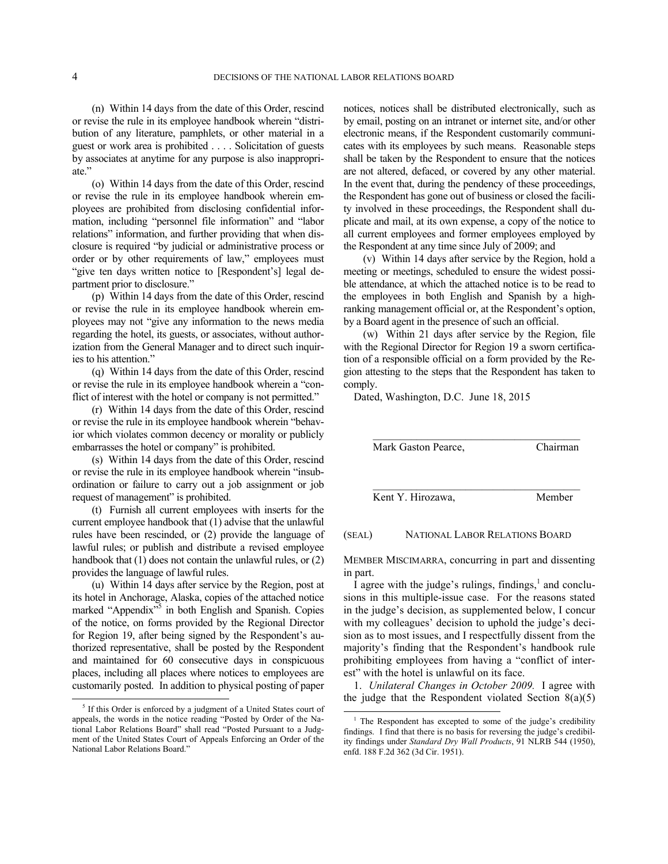-

(n) Within 14 days from the date of this Order, rescind or revise the rule in its employee handbook wherein "distribution of any literature, pamphlets, or other material in a guest or work area is prohibited . . . . Solicitation of guests by associates at anytime for any purpose is also inappropriate."

(o) Within 14 days from the date of this Order, rescind or revise the rule in its employee handbook wherein employees are prohibited from disclosing confidential information, including "personnel file information" and "labor relations" information, and further providing that when disclosure is required "by judicial or administrative process or order or by other requirements of law," employees must "give ten days written notice to [Respondent's] legal department prior to disclosure."

(p) Within 14 days from the date of this Order, rescind or revise the rule in its employee handbook wherein employees may not "give any information to the news media regarding the hotel, its guests, or associates, without authorization from the General Manager and to direct such inquiries to his attention."

(q) Within 14 days from the date of this Order, rescind or revise the rule in its employee handbook wherein a "conflict of interest with the hotel or company is not permitted."

(r) Within 14 days from the date of this Order, rescind or revise the rule in its employee handbook wherein "behavior which violates common decency or morality or publicly embarrasses the hotel or company" is prohibited.

(s) Within 14 days from the date of this Order, rescind or revise the rule in its employee handbook wherein "insubordination or failure to carry out a job assignment or job request of management" is prohibited.

(t) Furnish all current employees with inserts for the current employee handbook that (1) advise that the unlawful rules have been rescinded, or (2) provide the language of lawful rules; or publish and distribute a revised employee handbook that (1) does not contain the unlawful rules, or (2) provides the language of lawful rules.

(u) Within 14 days after service by the Region, post at its hotel in Anchorage, Alaska, copies of the attached notice marked "Appendix"<sup>[5](#page-3-0)</sup> in both English and Spanish. Copies of the notice, on forms provided by the Regional Director for Region 19, after being signed by the Respondent's authorized representative, shall be posted by the Respondent and maintained for 60 consecutive days in conspicuous places, including all places where notices to employees are customarily posted. In addition to physical posting of paper

notices, notices shall be distributed electronically, such as by email, posting on an intranet or internet site, and/or other electronic means, if the Respondent customarily communicates with its employees by such means. Reasonable steps shall be taken by the Respondent to ensure that the notices are not altered, defaced, or covered by any other material. In the event that, during the pendency of these proceedings, the Respondent has gone out of business or closed the facility involved in these proceedings, the Respondent shall duplicate and mail, at its own expense, a copy of the notice to all current employees and former employees employed by the Respondent at any time since July of 2009; and

(v) Within 14 days after service by the Region, hold a meeting or meetings, scheduled to ensure the widest possible attendance, at which the attached notice is to be read to the employees in both English and Spanish by a highranking management official or, at the Respondent's option, by a Board agent in the presence of such an official.

(w) Within 21 days after service by the Region, file with the Regional Director for Region 19 a sworn certification of a responsible official on a form provided by the Region attesting to the steps that the Respondent has taken to comply.

Dated, Washington, D.C. June 18, 2015

| Mark Gaston Pearce, | Chairman |
|---------------------|----------|
|                     |          |
| Kent Y. Hirozawa,   | Member   |

#### (SEAL) NATIONAL LABOR RELATIONS BOARD

MEMBER MISCIMARRA, concurring in part and dissenting in part.

I agree with the judge's rulings, findings, $<sup>1</sup>$  $<sup>1</sup>$  $<sup>1</sup>$  and conclu-</sup> sions in this multiple-issue case. For the reasons stated in the judge's decision, as supplemented below, I concur with my colleagues' decision to uphold the judge's decision as to most issues, and I respectfully dissent from the majority's finding that the Respondent's handbook rule prohibiting employees from having a "conflict of interest" with the hotel is unlawful on its face.

1. *Unilateral Changes in October 2009.* I agree with the judge that the Respondent violated Section  $8(a)(5)$ 

l

<span id="page-3-1"></span><span id="page-3-0"></span><sup>&</sup>lt;sup>5</sup> If this Order is enforced by a judgment of a United States court of appeals, the words in the notice reading "Posted by Order of the National Labor Relations Board" shall read "Posted Pursuant to a Judgment of the United States Court of Appeals Enforcing an Order of the National Labor Relations Board."

<sup>&</sup>lt;sup>1</sup> The Respondent has excepted to some of the judge's credibility findings. I find that there is no basis for reversing the judge's credibility findings under *Standard Dry Wall Products*, 91 NLRB 544 (1950), enfd. 188 F.2d 362 (3d Cir. 1951).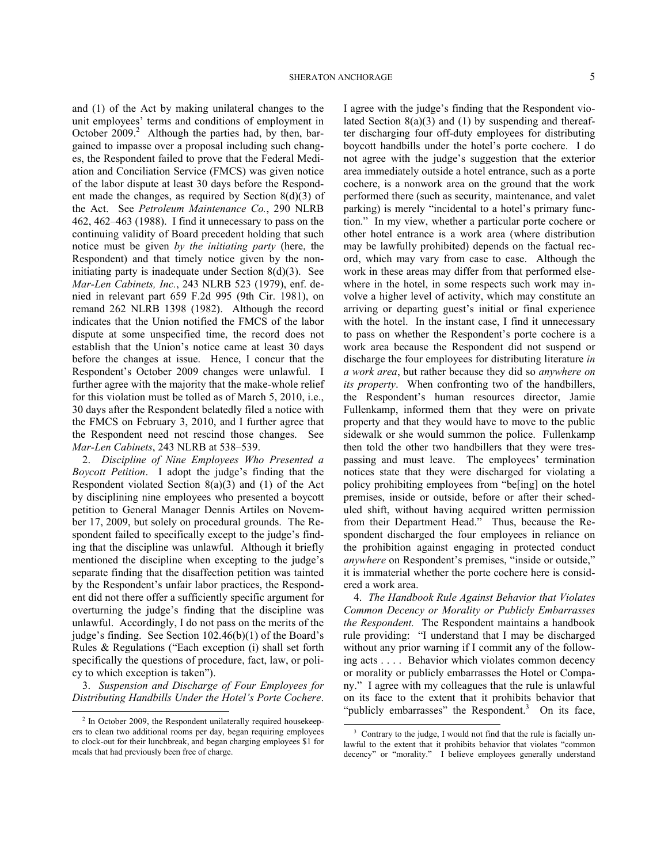and (1) of the Act by making unilateral changes to the unit employees' terms and conditions of employment in October [2](#page-4-0)009.<sup>2</sup> Although the parties had, by then, bargained to impasse over a proposal including such changes, the Respondent failed to prove that the Federal Mediation and Conciliation Service (FMCS) was given notice of the labor dispute at least 30 days before the Respondent made the changes, as required by Section 8(d)(3) of the Act. See *Petroleum Maintenance Co.*, 290 NLRB 462, 462–463 (1988). I find it unnecessary to pass on the continuing validity of Board precedent holding that such notice must be given *by the initiating party* (here, the Respondent) and that timely notice given by the noninitiating party is inadequate under Section  $8(d)(3)$ . See *Mar-Len Cabinets, Inc.*, 243 NLRB 523 (1979), enf. denied in relevant part 659 F.2d 995 (9th Cir. 1981), on remand 262 NLRB 1398 (1982). Although the record indicates that the Union notified the FMCS of the labor dispute at some unspecified time, the record does not establish that the Union's notice came at least 30 days before the changes at issue. Hence, I concur that the Respondent's October 2009 changes were unlawful. I further agree with the majority that the make-whole relief for this violation must be tolled as of March 5, 2010, i.e., 30 days after the Respondent belatedly filed a notice with the FMCS on February 3, 2010, and I further agree that the Respondent need not rescind those changes. See *Mar-Len Cabinets*, 243 NLRB at 538–539.

2. *Discipline of Nine Employees Who Presented a Boycott Petition*. I adopt the judge's finding that the Respondent violated Section 8(a)(3) and (1) of the Act by disciplining nine employees who presented a boycott petition to General Manager Dennis Artiles on November 17, 2009, but solely on procedural grounds. The Respondent failed to specifically except to the judge's finding that the discipline was unlawful. Although it briefly mentioned the discipline when excepting to the judge's separate finding that the disaffection petition was tainted by the Respondent's unfair labor practices, the Respondent did not there offer a sufficiently specific argument for overturning the judge's finding that the discipline was unlawful. Accordingly, I do not pass on the merits of the judge's finding. See Section 102.46(b)(1) of the Board's Rules & Regulations ("Each exception (i) shall set forth specifically the questions of procedure, fact, law, or policy to which exception is taken").

3. *Suspension and Discharge of Four Employees for Distributing Handbills Under the Hotel's Porte Cochere*.

 $\overline{a}$ 

I agree with the judge's finding that the Respondent violated Section 8(a)(3) and (1) by suspending and thereafter discharging four off-duty employees for distributing boycott handbills under the hotel's porte cochere. I do not agree with the judge's suggestion that the exterior area immediately outside a hotel entrance, such as a porte cochere, is a nonwork area on the ground that the work performed there (such as security, maintenance, and valet parking) is merely "incidental to a hotel's primary function." In my view, whether a particular porte cochere or other hotel entrance is a work area (where distribution may be lawfully prohibited) depends on the factual record, which may vary from case to case. Although the work in these areas may differ from that performed elsewhere in the hotel, in some respects such work may involve a higher level of activity, which may constitute an arriving or departing guest's initial or final experience with the hotel. In the instant case, I find it unnecessary to pass on whether the Respondent's porte cochere is a work area because the Respondent did not suspend or discharge the four employees for distributing literature *in a work area*, but rather because they did so *anywhere on its property*. When confronting two of the handbillers, the Respondent's human resources director, Jamie Fullenkamp, informed them that they were on private property and that they would have to move to the public sidewalk or she would summon the police. Fullenkamp then told the other two handbillers that they were trespassing and must leave. The employees' termination notices state that they were discharged for violating a policy prohibiting employees from "be[ing] on the hotel premises, inside or outside, before or after their scheduled shift, without having acquired written permission from their Department Head." Thus, because the Respondent discharged the four employees in reliance on the prohibition against engaging in protected conduct *anywhere* on Respondent's premises, "inside or outside," it is immaterial whether the porte cochere here is considered a work area.

4. *The Handbook Rule Against Behavior that Violates Common Decency or Morality or Publicly Embarrasses the Respondent.* The Respondent maintains a handbook rule providing: "I understand that I may be discharged without any prior warning if I commit any of the following acts . . . . Behavior which violates common decency or morality or publicly embarrasses the Hotel or Company." I agree with my colleagues that the rule is unlawful on its face to the extent that it prohibits behavior that "publicly embarrasses" the Respondent. $3$  On its face,

 $\overline{a}$ 

<span id="page-4-1"></span><span id="page-4-0"></span><sup>&</sup>lt;sup>2</sup> In October 2009, the Respondent unilaterally required housekeepers to clean two additional rooms per day, began requiring employees to clock-out for their lunchbreak, and began charging employees \$1 for meals that had previously been free of charge.

<sup>&</sup>lt;sup>3</sup> Contrary to the judge, I would not find that the rule is facially unlawful to the extent that it prohibits behavior that violates "common decency" or "morality." I believe employees generally understand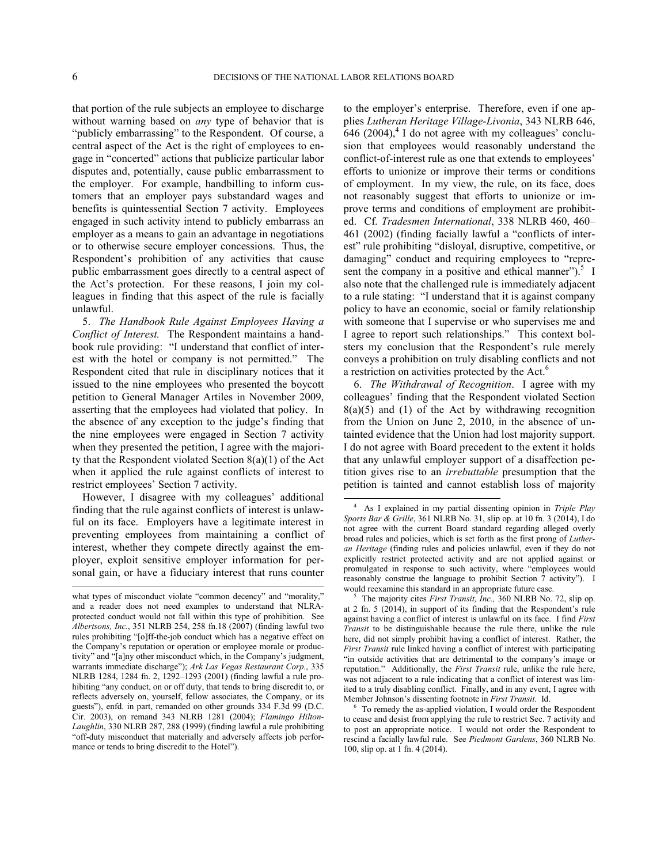l

 $\overline{a}$ 

that portion of the rule subjects an employee to discharge without warning based on *any* type of behavior that is "publicly embarrassing" to the Respondent. Of course, a central aspect of the Act is the right of employees to engage in "concerted" actions that publicize particular labor disputes and, potentially, cause public embarrassment to the employer. For example, handbilling to inform customers that an employer pays substandard wages and benefits is quintessential Section 7 activity. Employees engaged in such activity intend to publicly embarrass an employer as a means to gain an advantage in negotiations or to otherwise secure employer concessions. Thus, the Respondent's prohibition of any activities that cause public embarrassment goes directly to a central aspect of the Act's protection. For these reasons, I join my colleagues in finding that this aspect of the rule is facially unlawful.

5. *The Handbook Rule Against Employees Having a Conflict of Interest.* The Respondent maintains a handbook rule providing: "I understand that conflict of interest with the hotel or company is not permitted." The Respondent cited that rule in disciplinary notices that it issued to the nine employees who presented the boycott petition to General Manager Artiles in November 2009, asserting that the employees had violated that policy. In the absence of any exception to the judge's finding that the nine employees were engaged in Section 7 activity when they presented the petition, I agree with the majority that the Respondent violated Section 8(a)(1) of the Act when it applied the rule against conflicts of interest to restrict employees' Section 7 activity.

<span id="page-5-0"></span>However, I disagree with my colleagues' additional finding that the rule against conflicts of interest is unlawful on its face. Employers have a legitimate interest in preventing employees from maintaining a conflict of interest, whether they compete directly against the employer, exploit sensitive employer information for personal gain, or have a fiduciary interest that runs counter

to the employer's enterprise. Therefore, even if one applies *Lutheran Heritage Village-Livonia*, 343 NLRB 646,  $646$  $646$  $646$  (2004), $4$  I do not agree with my colleagues' conclusion that employees would reasonably understand the conflict-of-interest rule as one that extends to employees' efforts to unionize or improve their terms or conditions of employment. In my view, the rule, on its face, does not reasonably suggest that efforts to unionize or improve terms and conditions of employment are prohibited. Cf. *Tradesmen International*, 338 NLRB 460, 460– 461 (2002) (finding facially lawful a "conflicts of interest" rule prohibiting "disloyal, disruptive, competitive, or damaging" conduct and requiring employees to "repre-sent the company in a positive and ethical manner").<sup>[5](#page-5-1)</sup> I also note that the challenged rule is immediately adjacent to a rule stating: "I understand that it is against company policy to have an economic, social or family relationship with someone that I supervise or who supervises me and I agree to report such relationships." This context bolsters my conclusion that the Respondent's rule merely conveys a prohibition on truly disabling conflicts and not a restriction on activities protected by the Act.<sup>[6](#page-5-2)</sup>

6. *The Withdrawal of Recognition*. I agree with my colleagues' finding that the Respondent violated Section  $8(a)(5)$  and  $(1)$  of the Act by withdrawing recognition from the Union on June 2, 2010, in the absence of untainted evidence that the Union had lost majority support. I do not agree with Board precedent to the extent it holds that any unlawful employer support of a disaffection petition gives rise to an *irrebuttable* presumption that the petition is tainted and cannot establish loss of majority

<span id="page-5-2"></span><span id="page-5-1"></span>what types of misconduct violate "common decency" and "morality," and a reader does not need examples to understand that NLRAprotected conduct would not fall within this type of prohibition. See *Albertsons, Inc.*, 351 NLRB 254, 258 fn.18 (2007) (finding lawful two rules prohibiting "[o]ff-the-job conduct which has a negative effect on the Company's reputation or operation or employee morale or productivity" and "[a]ny other misconduct which, in the Company's judgment, warrants immediate discharge"); *Ark Las Vegas Restaurant Corp.*, 335 NLRB 1284, 1284 fn. 2, 1292–1293 (2001) (finding lawful a rule prohibiting "any conduct, on or off duty, that tends to bring discredit to, or reflects adversely on, yourself, fellow associates, the Company, or its guests"), enfd. in part, remanded on other grounds 334 F.3d 99 (D.C. Cir. 2003), on remand 343 NLRB 1281 (2004); *[Flamingo Hilton-](http://web2.westlaw.com/find/default.wl?mt=26&db=0001417&tc=-1&rp=%2ffind%2fdefault.wl&findtype=Y&ordoc=2013434081&serialnum=1999270591&vr=2.0&fn=_top&sv=Split&tf=-1&pbc=9C9CF495&rs=WLW12.04)Laughlin*[, 330 NLRB 287, 288 \(1999\)](http://web2.westlaw.com/find/default.wl?mt=26&db=0001417&tc=-1&rp=%2ffind%2fdefault.wl&findtype=Y&ordoc=2013434081&serialnum=1999270591&vr=2.0&fn=_top&sv=Split&tf=-1&pbc=9C9CF495&rs=WLW12.04) (finding lawful a rule prohibiting "off-duty misconduct that materially and adversely affects job performance or tends to bring discredit to the Hotel").

<sup>4</sup> As I explained in my partial dissenting opinion in *Triple Play Sports Bar & Grille*, 361 NLRB No. 31, slip op. at 10 fn. 3 (2014), I do not agree with the current Board standard regarding alleged overly broad rules and policies, which is set forth as the first prong of *Lutheran Heritage* (finding rules and policies unlawful, even if they do not explicitly restrict protected activity and are not applied against or promulgated in response to such activity, where "employees would reasonably construe the language to prohibit Section 7 activity"). I would reexamine this standard in an appropriate future case.

<sup>5</sup> The majority cites *First Transit, Inc.,* 360 NLRB No. 72, slip op. at 2 fn. 5 (2014), in support of its finding that the Respondent's rule against having a conflict of interest is unlawful on its face. I find *First Transit* to be distinguishable because the rule there, unlike the rule here, did not simply prohibit having a conflict of interest. Rather, the *First Transit* rule linked having a conflict of interest with participating "in outside activities that are detrimental to the company's image or reputation." Additionally, the *First Transit* rule, unlike the rule here, was not adjacent to a rule indicating that a conflict of interest was limited to a truly disabling conflict. Finally, and in any event, I agree with Member Johnson's dissenting footnote in *First Transit*. Id.

<sup>6</sup> To remedy the as-applied violation, I would order the Respondent to cease and desist from applying the rule to restrict Sec. 7 activity and to post an appropriate notice. I would not order the Respondent to rescind a facially lawful rule. See *Piedmont Gardens*, 360 NLRB No. 100, slip op. at 1 fn. 4 (2014).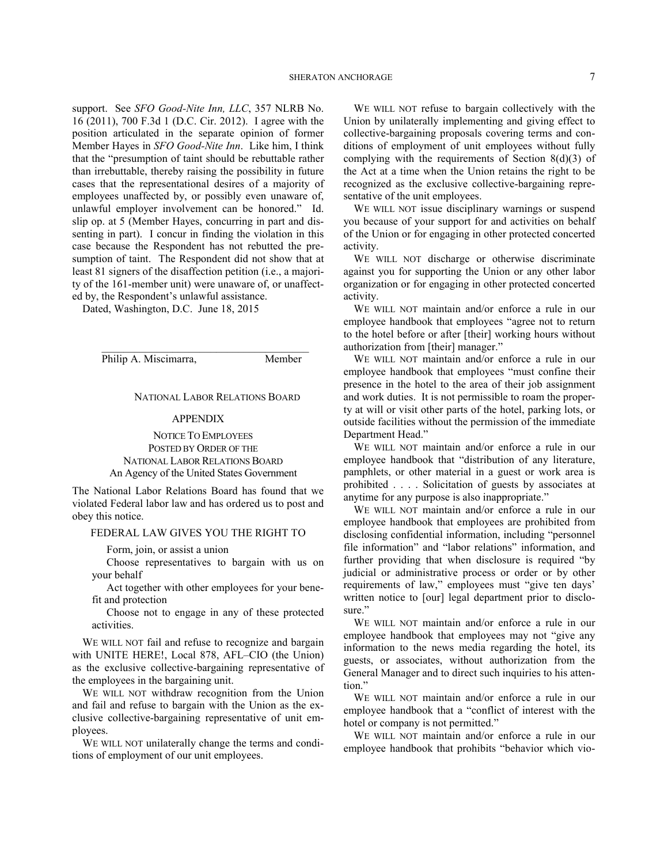support. See *SFO Good-Nite Inn, LLC*, 357 NLRB No. 16 (2011), 700 F.3d 1 (D.C. Cir. 2012). I agree with the position articulated in the separate opinion of former Member Hayes in *SFO Good-Nite Inn*. Like him, I think that the "presumption of taint should be rebuttable rather than irrebuttable, thereby raising the possibility in future cases that the representational desires of a majority of employees unaffected by, or possibly even unaware of, unlawful employer involvement can be honored." Id. slip op. at 5 (Member Hayes, concurring in part and dissenting in part). I concur in finding the violation in this case because the Respondent has not rebutted the presumption of taint. The Respondent did not show that at least 81 signers of the disaffection petition (i.e., a majority of the 161-member unit) were unaware of, or unaffected by, the Respondent's unlawful assistance.

Dated, Washington, D.C. June 18, 2015

Philip A. Miscimarra, Member

#### NATIONAL LABOR RELATIONS BOARD

### APPENDIX

 $\mathcal{L}_\text{max}$  and  $\mathcal{L}_\text{max}$  and  $\mathcal{L}_\text{max}$  and  $\mathcal{L}_\text{max}$ 

NOTICE TO EMPLOYEES POSTED BY ORDER OF THE NATIONAL LABOR RELATIONS BOARD An Agency of the United States Government

The National Labor Relations Board has found that we violated Federal labor law and has ordered us to post and obey this notice.

## FEDERAL LAW GIVES YOU THE RIGHT TO

Form, join, or assist a union

Choose representatives to bargain with us on your behalf

Act together with other employees for your benefit and protection

Choose not to engage in any of these protected activities.

WE WILL NOT fail and refuse to recognize and bargain with UNITE HERE!, Local 878, AFL–CIO (the Union) as the exclusive collective-bargaining representative of the employees in the bargaining unit.

WE WILL NOT withdraw recognition from the Union and fail and refuse to bargain with the Union as the exclusive collective-bargaining representative of unit employees.

WE WILL NOT unilaterally change the terms and conditions of employment of our unit employees.

WE WILL NOT refuse to bargain collectively with the Union by unilaterally implementing and giving effect to collective-bargaining proposals covering terms and conditions of employment of unit employees without fully complying with the requirements of Section 8(d)(3) of the Act at a time when the Union retains the right to be recognized as the exclusive collective-bargaining representative of the unit employees.

WE WILL NOT issue disciplinary warnings or suspend you because of your support for and activities on behalf of the Union or for engaging in other protected concerted activity.

WE WILL NOT discharge or otherwise discriminate against you for supporting the Union or any other labor organization or for engaging in other protected concerted activity.

WE WILL NOT maintain and/or enforce a rule in our employee handbook that employees "agree not to return to the hotel before or after [their] working hours without authorization from [their] manager."

WE WILL NOT maintain and/or enforce a rule in our employee handbook that employees "must confine their presence in the hotel to the area of their job assignment and work duties. It is not permissible to roam the property at will or visit other parts of the hotel, parking lots, or outside facilities without the permission of the immediate Department Head."

WE WILL NOT maintain and/or enforce a rule in our employee handbook that "distribution of any literature, pamphlets, or other material in a guest or work area is prohibited . . . . Solicitation of guests by associates at anytime for any purpose is also inappropriate."

WE WILL NOT maintain and/or enforce a rule in our employee handbook that employees are prohibited from disclosing confidential information, including "personnel file information" and "labor relations" information, and further providing that when disclosure is required "by judicial or administrative process or order or by other requirements of law," employees must "give ten days' written notice to [our] legal department prior to disclosure."

WE WILL NOT maintain and/or enforce a rule in our employee handbook that employees may not "give any information to the news media regarding the hotel, its guests, or associates, without authorization from the General Manager and to direct such inquiries to his attention."

WE WILL NOT maintain and/or enforce a rule in our employee handbook that a "conflict of interest with the hotel or company is not permitted."

WE WILL NOT maintain and/or enforce a rule in our employee handbook that prohibits "behavior which vio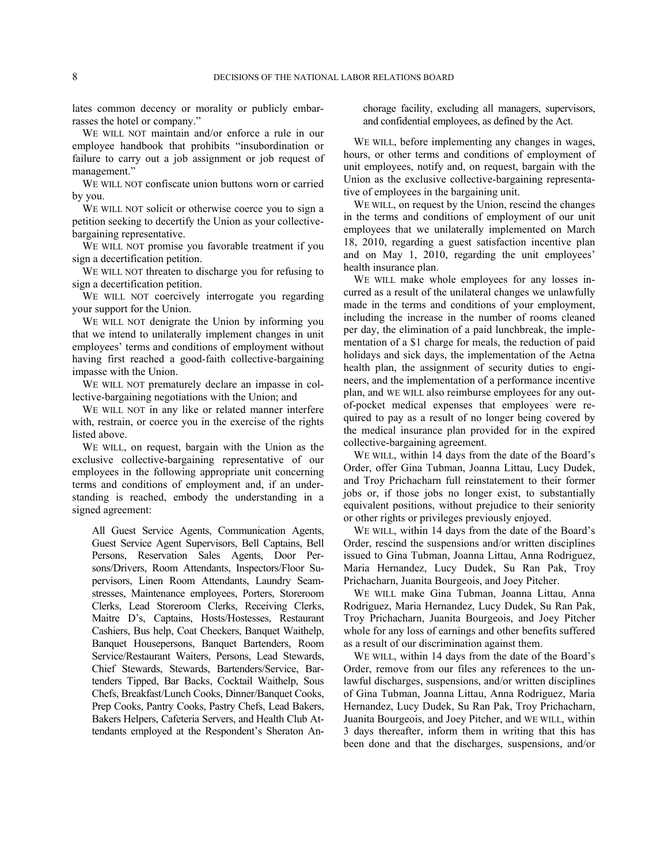lates common decency or morality or publicly embarrasses the hotel or company."

WE WILL NOT maintain and/or enforce a rule in our employee handbook that prohibits "insubordination or failure to carry out a job assignment or job request of management."

WE WILL NOT confiscate union buttons worn or carried by you.

WE WILL NOT solicit or otherwise coerce you to sign a petition seeking to decertify the Union as your collectivebargaining representative.

WE WILL NOT promise you favorable treatment if you sign a decertification petition.

WE WILL NOT threaten to discharge you for refusing to sign a decertification petition.

WE WILL NOT coercively interrogate you regarding your support for the Union.

WE WILL NOT denigrate the Union by informing you that we intend to unilaterally implement changes in unit employees' terms and conditions of employment without having first reached a good-faith collective-bargaining impasse with the Union.

WE WILL NOT prematurely declare an impasse in collective-bargaining negotiations with the Union; and

WE WILL NOT in any like or related manner interfere with, restrain, or coerce you in the exercise of the rights listed above.

WE WILL, on request, bargain with the Union as the exclusive collective-bargaining representative of our employees in the following appropriate unit concerning terms and conditions of employment and, if an understanding is reached, embody the understanding in a signed agreement:

All Guest Service Agents, Communication Agents, Guest Service Agent Supervisors, Bell Captains, Bell Persons, Reservation Sales Agents, Door Persons/Drivers, Room Attendants, Inspectors/Floor Supervisors, Linen Room Attendants, Laundry Seamstresses, Maintenance employees, Porters, Storeroom Clerks, Lead Storeroom Clerks, Receiving Clerks, Maitre D's, Captains, Hosts/Hostesses, Restaurant Cashiers, Bus help, Coat Checkers, Banquet Waithelp, Banquet Housepersons, Banquet Bartenders, Room Service/Restaurant Waiters, Persons, Lead Stewards, Chief Stewards, Stewards, Bartenders/Service, Bartenders Tipped, Bar Backs, Cocktail Waithelp, Sous Chefs, Breakfast/Lunch Cooks, Dinner/Banquet Cooks, Prep Cooks, Pantry Cooks, Pastry Chefs, Lead Bakers, Bakers Helpers, Cafeteria Servers, and Health Club Attendants employed at the Respondent's Sheraton Anchorage facility, excluding all managers, supervisors, and confidential employees, as defined by the Act.

WE WILL, before implementing any changes in wages, hours, or other terms and conditions of employment of unit employees, notify and, on request, bargain with the Union as the exclusive collective-bargaining representative of employees in the bargaining unit.

WE WILL, on request by the Union, rescind the changes in the terms and conditions of employment of our unit employees that we unilaterally implemented on March 18, 2010, regarding a guest satisfaction incentive plan and on May 1, 2010, regarding the unit employees' health insurance plan.

WE WILL make whole employees for any losses incurred as a result of the unilateral changes we unlawfully made in the terms and conditions of your employment, including the increase in the number of rooms cleaned per day, the elimination of a paid lunchbreak, the implementation of a \$1 charge for meals, the reduction of paid holidays and sick days, the implementation of the Aetna health plan, the assignment of security duties to engineers, and the implementation of a performance incentive plan, and WE WILL also reimburse employees for any outof-pocket medical expenses that employees were required to pay as a result of no longer being covered by the medical insurance plan provided for in the expired collective-bargaining agreement.

WE WILL, within 14 days from the date of the Board's Order, offer Gina Tubman, Joanna Littau, Lucy Dudek, and Troy Prichacharn full reinstatement to their former jobs or, if those jobs no longer exist, to substantially equivalent positions, without prejudice to their seniority or other rights or privileges previously enjoyed.

WE WILL, within 14 days from the date of the Board's Order, rescind the suspensions and/or written disciplines issued to Gina Tubman, Joanna Littau, Anna Rodriguez, Maria Hernandez, Lucy Dudek, Su Ran Pak, Troy Prichacharn, Juanita Bourgeois, and Joey Pitcher.

WE WILL make Gina Tubman, Joanna Littau, Anna Rodriguez, Maria Hernandez, Lucy Dudek, Su Ran Pak, Troy Prichacharn, Juanita Bourgeois, and Joey Pitcher whole for any loss of earnings and other benefits suffered as a result of our discrimination against them.

WE WILL, within 14 days from the date of the Board's Order, remove from our files any references to the unlawful discharges, suspensions, and/or written disciplines of Gina Tubman, Joanna Littau, Anna Rodriguez, Maria Hernandez, Lucy Dudek, Su Ran Pak, Troy Prichacharn, Juanita Bourgeois, and Joey Pitcher, and WE WILL, within 3 days thereafter, inform them in writing that this has been done and that the discharges, suspensions, and/or